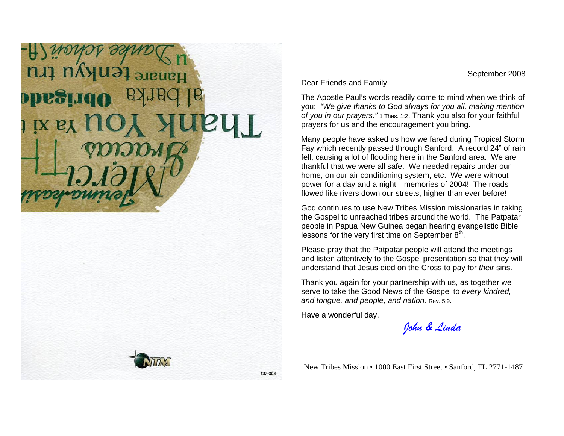## **Enkyu tru OpeSugO**  $IX$   $E_X$   $IIO$

September 2008

Dear Friends and Family,

The Apostle Paul's words readily come to mind when we think of you: *"We give thanks to God always for you all, making mention of you in our prayers."* 1 Thes. 1:2. Thank you also for your faithful prayers for us and the encouragement you bring.

Many people have asked us how we fared during Tropical Storm Fay which recently passed through Sanford. A record 24" of rain fell, causing a lot of flooding here in the Sanford area. We are thankful that we were all safe. We needed repairs under our home, on our air conditioning system, etc. We were without power for a day and a night—memories of 2004! The roads flowed like rivers down our streets, higher than ever before!

God continues to use New Tribes Mission missionaries in taking the Gospel to unreached tribes around the world. The Patpatar people in Papua New Guinea began hearing evangelistic Bible lessons for the very first time on September  $8<sup>th</sup>$ .

Please pray that the Patpatar people will attend the meetings and listen attentively to the Gospel presentation so that they will understand that Jesus died on the Cross to pay for *their* sins.

Thank you again for your partnership with us, as together we serve to take the Good News of the Gospel to *every kindred, and tongue, and people, and nation.* Rev. 5:9.

Have a wonderful day.

*John & Linda*

New Tribes Mission • 1000 East First Street • Sanford, FL 2771-1487



137-008